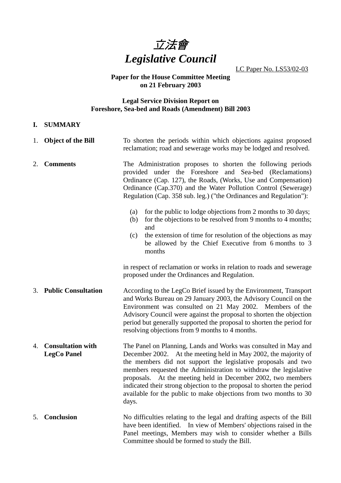

LC Paper No. LS53/02-03

#### **Paper for the House Committee Meeting on 21 February 2003**

#### **Legal Service Division Report on Foreshore, Sea-bed and Roads (Amendment) Bill 2003**

#### **I. SUMMARY**

|    | 1. Object of the Bill                          | To shorten the periods within which objections against proposed<br>reclamation; road and sewerage works may be lodged and resolved.                                                                                                                                                                                                                                                                                                                                                                                                                                                                                              |  |  |
|----|------------------------------------------------|----------------------------------------------------------------------------------------------------------------------------------------------------------------------------------------------------------------------------------------------------------------------------------------------------------------------------------------------------------------------------------------------------------------------------------------------------------------------------------------------------------------------------------------------------------------------------------------------------------------------------------|--|--|
| 2. | <b>Comments</b>                                | The Administration proposes to shorten the following periods<br>provided under the Foreshore and Sea-bed (Reclamations)<br>Ordinance (Cap. 127), the Roads, (Works, Use and Compensation)<br>Ordinance (Cap.370) and the Water Pollution Control (Sewerage)<br>Regulation (Cap. 358 sub. leg.) ("the Ordinances and Regulation"):<br>for the public to lodge objections from 2 months to 30 days;<br>(a)<br>for the objections to be resolved from 9 months to 4 months;<br>(b)<br>and<br>the extension of time for resolution of the objections as may<br>(c)<br>be allowed by the Chief Executive from 6 months to 3<br>months |  |  |
|    |                                                | in respect of reclamation or works in relation to roads and sewerage<br>proposed under the Ordinances and Regulation.                                                                                                                                                                                                                                                                                                                                                                                                                                                                                                            |  |  |
| 3. | <b>Public Consultation</b>                     | According to the LegCo Brief issued by the Environment, Transport<br>and Works Bureau on 29 January 2003, the Advisory Council on the<br>Environment was consulted on 21 May 2002. Members of the<br>Advisory Council were against the proposal to shorten the objection<br>period but generally supported the proposal to shorten the period for<br>resolving objections from 9 months to 4 months.                                                                                                                                                                                                                             |  |  |
| 4. | <b>Consultation with</b><br><b>LegCo Panel</b> | The Panel on Planning, Lands and Works was consulted in May and<br>December 2002. At the meeting held in May 2002, the majority of<br>the members did not support the legislative proposals and two<br>members requested the Administration to withdraw the legislative<br>proposals. At the meeting held in December 2002, two members<br>indicated their strong objection to the proposal to shorten the period<br>available for the public to make objections from two months to 30<br>days.                                                                                                                                  |  |  |
| 5. | <b>Conclusion</b>                              | No difficulties relating to the legal and drafting aspects of the Bill<br>have been identified. In view of Members' objections raised in the<br>Panel meetings, Members may wish to consider whether a Bills<br>Committee should be formed to study the Bill.                                                                                                                                                                                                                                                                                                                                                                    |  |  |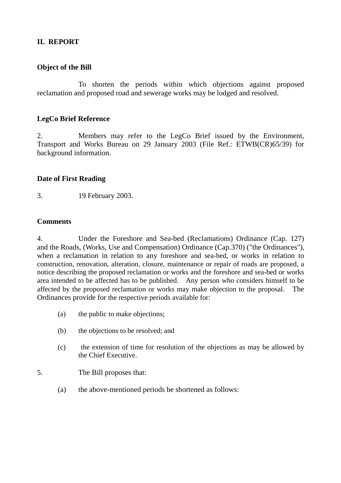# **II. REPORT**

# **Object of the Bill**

To shorten the periods within which objections against proposed reclamation and proposed road and sewerage works may be lodged and resolved.

## **LegCo Brief Reference**

2. Members may refer to the LegCo Brief issued by the Environment, Transport and Works Bureau on 29 January 2003 (File Ref.: ETWB(CR)65/39) for background information.

## **Date of First Reading**

3. 19 February 2003.

# **Comments**

4. Under the Foreshore and Sea-bed (Reclamations) Ordinance (Cap. 127) and the Roads, (Works, Use and Compensation) Ordinance (Cap.370) ("the Ordinances"), when a reclamation in relation to any foreshore and sea-bed, or works in relation to construction, renovation, alteration, closure, maintenance or repair of roads are proposed, a notice describing the proposed reclamation or works and the foreshore and sea-bed or works area intended to be affected has to be published. Any person who considers himself to be affected by the proposed reclamation or works may make objection to the proposal. The Ordinances provide for the respective periods available for:

- (a) the public to make objections;
- (b) the objections to be resolved; and
- (c) the extension of time for resolution of the objections as may be allowed by the Chief Executive.

## 5. The Bill proposes that:

(a) the above-mentioned periods be shortened as follows: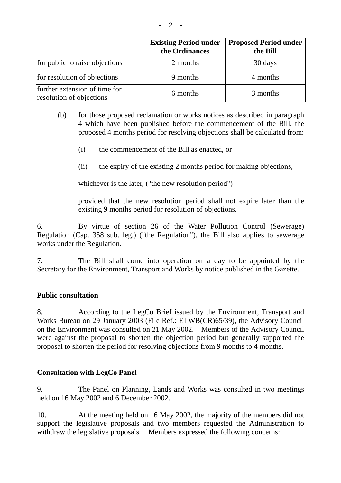|  | - |  |
|--|---|--|
|  |   |  |

|                                                           | <b>Existing Period under</b><br>the Ordinances | <b>Proposed Period under</b><br>the Bill |
|-----------------------------------------------------------|------------------------------------------------|------------------------------------------|
| for public to raise objections                            | 2 months                                       | 30 days                                  |
| for resolution of objections                              | 9 months                                       | 4 months                                 |
| further extension of time for<br>resolution of objections | 6 months                                       | 3 months                                 |

- (b) for those proposed reclamation or works notices as described in paragraph 4 which have been published before the commencement of the Bill, the proposed 4 months period for resolving objections shall be calculated from:
	- (i) the commencement of the Bill as enacted, or
	- (ii) the expiry of the existing 2 months period for making objections,

whichever is the later, ("the new resolution period")

provided that the new resolution period shall not expire later than the existing 9 months period for resolution of objections.

6. By virtue of section 26 of the Water Pollution Control (Sewerage) Regulation (Cap. 358 sub. leg.) ("the Regulation"), the Bill also applies to sewerage works under the Regulation.

7. The Bill shall come into operation on a day to be appointed by the Secretary for the Environment, Transport and Works by notice published in the Gazette.

#### **Public consultation**

8. According to the LegCo Brief issued by the Environment, Transport and Works Bureau on 29 January 2003 (File Ref.: ETWB(CR)65/39), the Advisory Council on the Environment was consulted on 21 May 2002. Members of the Advisory Council were against the proposal to shorten the objection period but generally supported the proposal to shorten the period for resolving objections from 9 months to 4 months.

## **Consultation with LegCo Panel**

9. The Panel on Planning, Lands and Works was consulted in two meetings held on 16 May 2002 and 6 December 2002.

10. At the meeting held on 16 May 2002, the majority of the members did not support the legislative proposals and two members requested the Administration to withdraw the legislative proposals. Members expressed the following concerns: